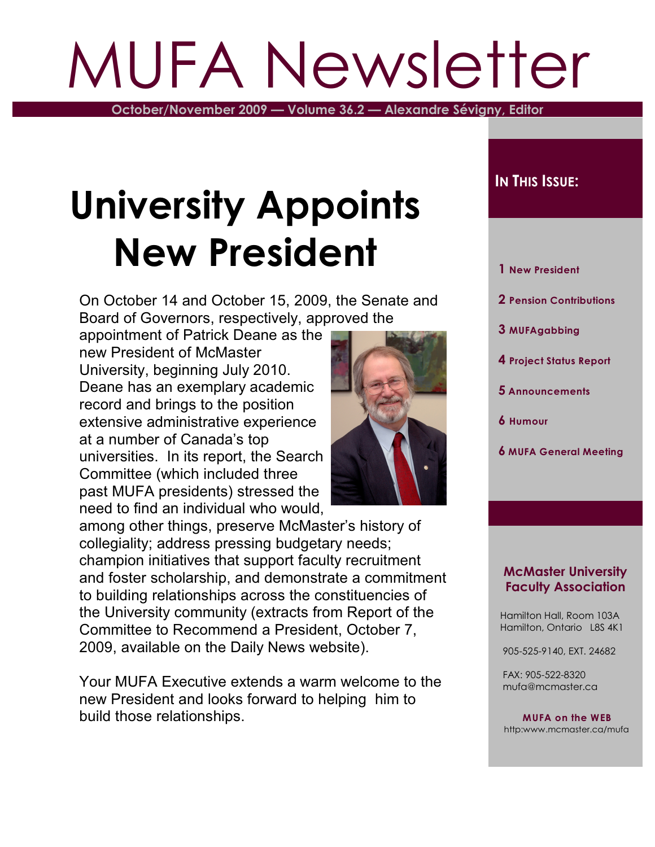# MUFA Newsletter

**October/November 2009 — Volume 36.2 — Alexandre Sévigny, Editor**

## **University Appoints New President**

On October 14 and October 15, 2009, the Senate and Board of Governors, respectively, approved the

appointment of Patrick Deane as the new President of McMaster University, beginning July 2010. Deane has an exemplary academic record and brings to the position extensive administrative experience at a number of Canada's top universities. In its report, the Search Committee (which included three past MUFA presidents) stressed the need to find an individual who would,



Your MUFA Executive extends a warm welcome to the new President and looks forward to helping him to build those relationships.

### **IN THIS ISSUE:**

- **1 New President**
- **2 Pension Contributions**
- **3 MUFAgabbing**
- **4 Project Status Report**
- **5 Announcements**
- **6 Humour**
- **6 MUFA General Meeting**

#### **McMaster University Faculty Association**

 Hamilton Hall, Room 103A Hamilton, Ontario L8S 4K1

905-525-9140, EXT. 24682

 FAX: 905-522-8320 mufa@mcmaster.ca

**MUFA on the WEB** http:www.mcmaster.ca/mufa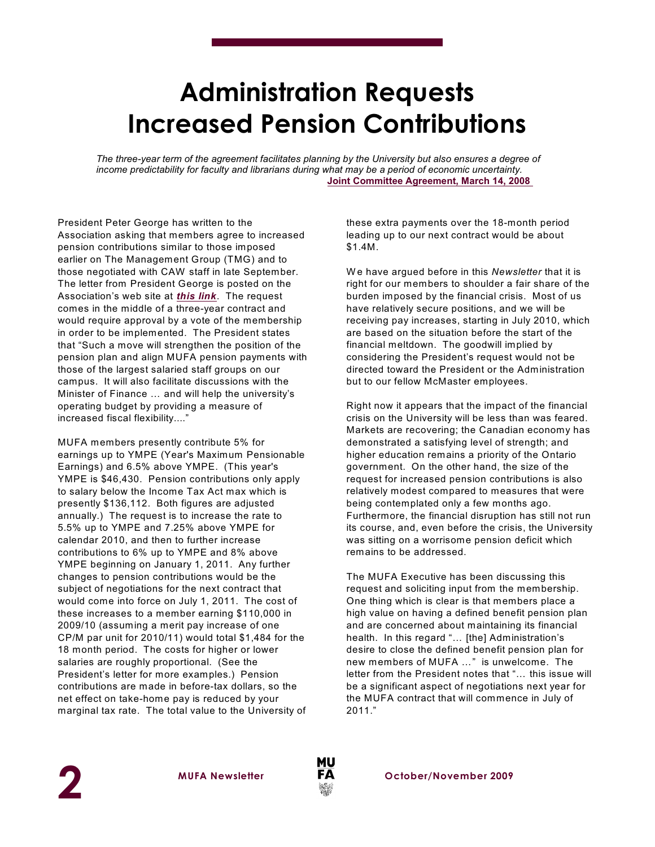## **Administration Requests Increased Pension Contributions**

*The three-year term of the agreement facilitates planning by the University but also ensures a degree of income predictability for faculty and librarians during what may be a period of economic uncertainty.* **[Joint Committee Agreement, March 14, 2008](http://www.mcmaster.ca/mufa/JCAgree2008Mar14.pdf)**

President Peter George has written to the Association asking that members agree to increased pension contributions similar to those imposed earlier on The Management Group (TMG) and to those negotiated with CAW staff in late September. The letter from President George is posted on the Association's web site at *[this](http://www.mcmaster.ca/mufa/PensionContributPJG.pdf) link*. The request comes in the middle of a three-year contract and would require approval by a vote of the membership in order to be implemented. The President states that "Such a move will strengthen the position of the pension plan and align MUFA pension payments with those of the largest salaried staff groups on our campus. It will also facilitate discussions with the Minister of Finance … and will help the university's operating budget by providing a measure of increased fiscal flexibility...."

MUFA members presently contribute 5% for earnings up to YMPE (Year's Maximum Pensionable Earnings) and 6.5% above YMPE. (This year's YMPE is \$46,430. Pension contributions only apply to salary below the Income Tax Act max which is presently \$136,112. Both figures are adjusted annually.) The request is to increase the rate to 5.5% up to YMPE and 7.25% above YMPE for calendar 2010, and then to further increase contributions to 6% up to YMPE and 8% above YMPE beginning on January 1, 2011. Any further changes to pension contributions would be the subject of negotiations for the next contract that would come into force on July 1, 2011. The cost of these increases to a member earning \$110,000 in 2009/10 (assuming a merit pay increase of one CP/M par unit for 2010/11) would total \$1,484 for the 18 month period. The costs for higher or lower salaries are roughly proportional. (See the President's letter for more examples.) Pension contributions are made in before-tax dollars, so the net effect on take-home pay is reduced by your marginal tax rate. The total value to the University of

these extra payments over the 18-month period leading up to our next contract would be about \$1.4M.

W e have argued before in this *Newsletter* that it is right for our members to shoulder a fair share of the burden imposed by the financial crisis. Most of us have relatively secure positions, and we will be receiving pay increases, starting in July 2010, which are based on the situation before the start of the financial meltdown. The goodwill implied by considering the President's request would not be directed toward the President or the Administration but to our fellow McMaster employees.

Right now it appears that the impact of the financial crisis on the University will be less than was feared. Markets are recovering; the Canadian economy has demonstrated a satisfying level of strength; and higher education remains a priority of the Ontario government. On the other hand, the size of the request for increased pension contributions is also relatively modest compared to measures that were being contemplated only a few months ago. Furthermore, the financial disruption has still not run its course, and, even before the crisis, the University was sitting on a worrisome pension deficit which remains to be addressed.

The MUFA Executive has been discussing this request and soliciting input from the membership. One thing which is clear is that members place a high value on having a defined benefit pension plan and are concerned about maintaining its financial health. In this regard "… [the] Administration's desire to close the defined benefit pension plan for new members of MUFA …" is unwelcome. The letter from the President notes that "… this issue will be a significant aspect of negotiations next year for the MUFA contract that will commence in July of 2011."

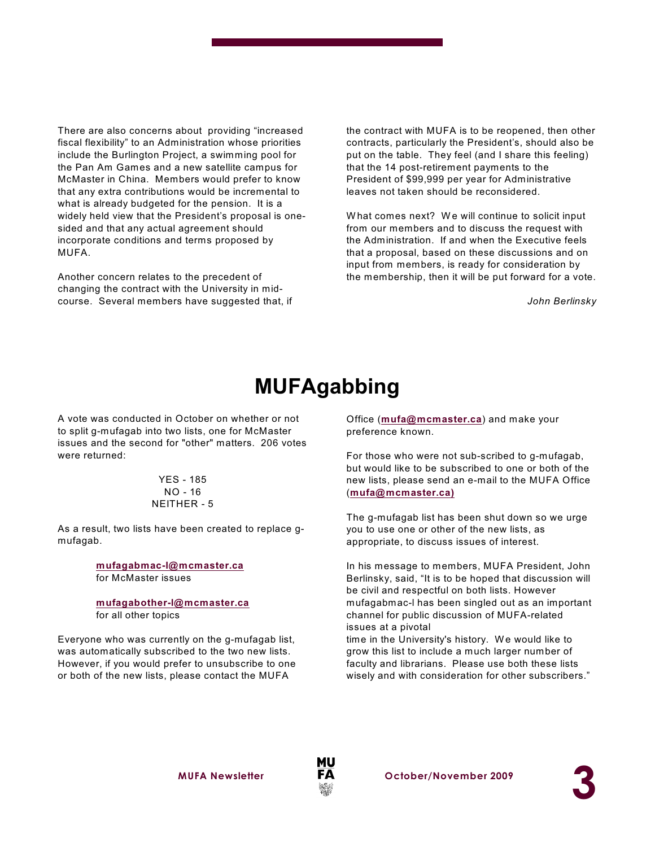There are also concerns about providing "increased fiscal flexibility" to an Administration whose priorities include the Burlington Project, a swimming pool for the Pan Am Games and a new satellite campus for McMaster in China. Members would prefer to know that any extra contributions would be incremental to what is already budgeted for the pension. It is a widely held view that the President's proposal is onesided and that any actual agreement should incorporate conditions and terms proposed by MUFA.

Another concern relates to the precedent of changing the contract with the University in midcourse. Several members have suggested that, if the contract with MUFA is to be reopened, then other contracts, particularly the President's, should also be put on the table. They feel (and I share this feeling) that the 14 post-retirement payments to the President of \$99,999 per year for Administrative leaves not taken should be reconsidered.

What comes next? We will continue to solicit input from our members and to discuss the request with the Administration. If and when the Executive feels that a proposal, based on these discussions and on input from members, is ready for consideration by the membership, then it will be put forward for a vote.

*John Berlinsky*

## **MUFAgabbing**

A vote was conducted in October on whether or not to split g-mufagab into two lists, one for McMaster issues and the second for "other" matters. 206 votes were returned:

#### YES - 185 NO - 16 NEITHER - 5

As a result, two lists have been created to replace gmufagab.

> **[mufagabmac-l@mcmaster.ca](mailto:mufagabmac-l@mcmaster.ca)** for McMaster issues

**[mufagabother-l@mcmaster.ca](mailto:mufagabother-l@mcmaster.ca)** for all other topics

Everyone who was currently on the g-mufagab list, was automatically subscribed to the two new lists. However, if you would prefer to unsubscribe to one or both of the new lists, please contact the MUFA

Office (**[mufa@mcmaster.ca](mailto:mufa@mcmaster.ca)**) and make your preference known.

For those who were not sub-scribed to g-mufagab, but would like to be subscribed to one or both of the new lists, please send an e-mail to the MUFA Office (**[mufa@mcmaster.ca\)](mailto:mufa@mcmaster.ca).)**

The g-mufagab list has been shut down so we urge you to use one or other of the new lists, as appropriate, to discuss issues of interest.

In his message to members, MUFA President, John Berlinsky, said, "It is to be hoped that discussion will be civil and respectful on both lists. However mufagabmac-l has been singled out as an important channel for public discussion of MUFA-related issues at a pivotal

time in the University's history. We would like to grow this list to include a much larger number of faculty and librarians. Please use both these lists wisely and with consideration for other subscribers."



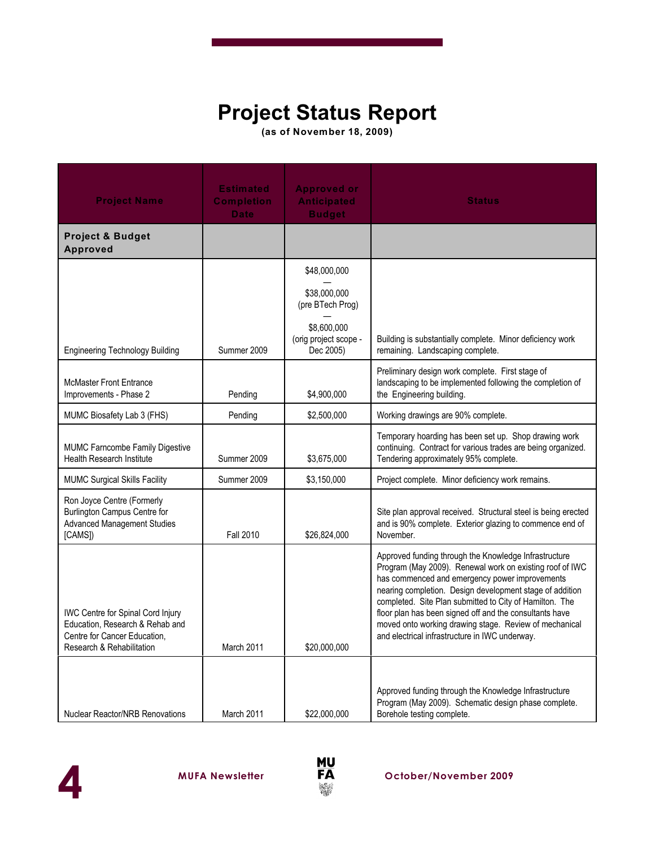## **Project Status Report**

**(as of November 18, 2009)**

| <b>Project Name</b>                                                                                                               | <b>Estimated</b><br><b>Completion</b><br><b>Date</b> | <b>Approved or</b><br><b>Anticipated</b><br><b>Budget</b>                                | <b>Status</b>                                                                                                                                                                                                                                                                                                                                                                                                                                                     |
|-----------------------------------------------------------------------------------------------------------------------------------|------------------------------------------------------|------------------------------------------------------------------------------------------|-------------------------------------------------------------------------------------------------------------------------------------------------------------------------------------------------------------------------------------------------------------------------------------------------------------------------------------------------------------------------------------------------------------------------------------------------------------------|
| <b>Project &amp; Budget</b><br><b>Approved</b>                                                                                    |                                                      |                                                                                          |                                                                                                                                                                                                                                                                                                                                                                                                                                                                   |
|                                                                                                                                   |                                                      | \$48,000,000<br>\$38,000,000<br>(pre BTech Prog)<br>\$8,600,000<br>(orig project scope - | Building is substantially complete. Minor deficiency work                                                                                                                                                                                                                                                                                                                                                                                                         |
| <b>Engineering Technology Building</b>                                                                                            | Summer 2009                                          | Dec 2005)                                                                                | remaining. Landscaping complete.                                                                                                                                                                                                                                                                                                                                                                                                                                  |
| <b>McMaster Front Entrance</b><br>Improvements - Phase 2                                                                          | Pending                                              | \$4,900,000                                                                              | Preliminary design work complete. First stage of<br>landscaping to be implemented following the completion of<br>the Engineering building.                                                                                                                                                                                                                                                                                                                        |
| MUMC Biosafety Lab 3 (FHS)                                                                                                        | Pending                                              | \$2,500,000                                                                              | Working drawings are 90% complete.                                                                                                                                                                                                                                                                                                                                                                                                                                |
| MUMC Farncombe Family Digestive<br><b>Health Research Institute</b>                                                               | Summer 2009                                          | \$3,675,000                                                                              | Temporary hoarding has been set up. Shop drawing work<br>continuing. Contract for various trades are being organized.<br>Tendering approximately 95% complete.                                                                                                                                                                                                                                                                                                    |
| <b>MUMC Surgical Skills Facility</b>                                                                                              | Summer 2009                                          | \$3,150,000                                                                              | Project complete. Minor deficiency work remains.                                                                                                                                                                                                                                                                                                                                                                                                                  |
| Ron Joyce Centre (Formerly<br><b>Burlington Campus Centre for</b><br><b>Advanced Management Studies</b><br>[CAMS])                | <b>Fall 2010</b>                                     | \$26,824,000                                                                             | Site plan approval received. Structural steel is being erected<br>and is 90% complete. Exterior glazing to commence end of<br>November.                                                                                                                                                                                                                                                                                                                           |
| IWC Centre for Spinal Cord Injury<br>Education, Research & Rehab and<br>Centre for Cancer Education,<br>Research & Rehabilitation | March 2011                                           | \$20,000,000                                                                             | Approved funding through the Knowledge Infrastructure<br>Program (May 2009). Renewal work on existing roof of IWC<br>has commenced and emergency power improvements<br>nearing completion. Design development stage of addition<br>completed. Site Plan submitted to City of Hamilton. The<br>floor plan has been signed off and the consultants have<br>moved onto working drawing stage. Review of mechanical<br>and electrical infrastructure in IWC underway. |
| <b>Nuclear Reactor/NRB Renovations</b>                                                                                            | March 2011                                           | \$22,000,000                                                                             | Approved funding through the Knowledge Infrastructure<br>Program (May 2009). Schematic design phase complete.<br>Borehole testing complete.                                                                                                                                                                                                                                                                                                                       |



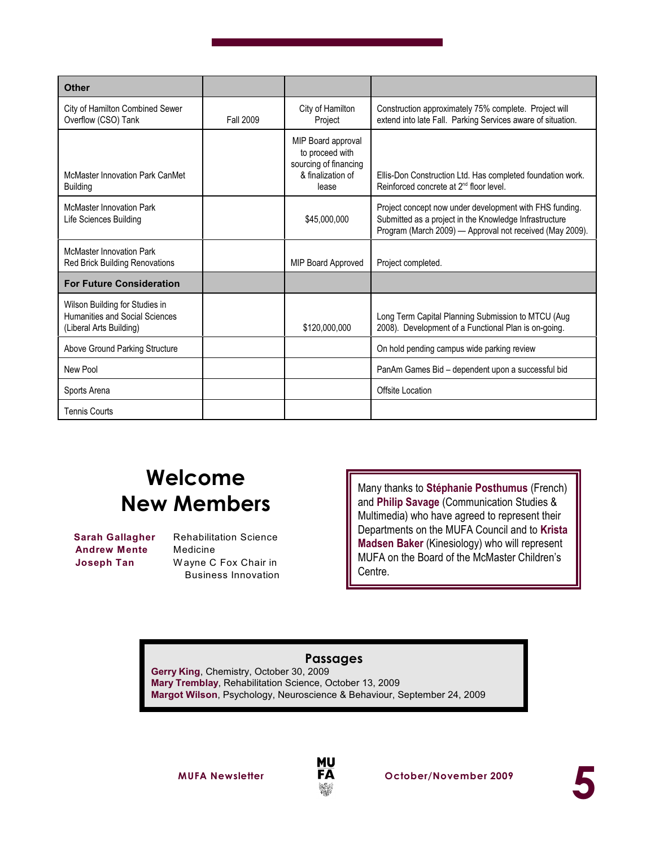| <b>Other</b>                                                                                       |                  |                                                                                              |                                                                                                                                                                               |
|----------------------------------------------------------------------------------------------------|------------------|----------------------------------------------------------------------------------------------|-------------------------------------------------------------------------------------------------------------------------------------------------------------------------------|
| City of Hamilton Combined Sewer<br>Overflow (CSO) Tank                                             | <b>Fall 2009</b> | City of Hamilton<br>Project                                                                  | Construction approximately 75% complete. Project will<br>extend into late Fall. Parking Services aware of situation.                                                          |
| McMaster Innovation Park CanMet<br><b>Building</b>                                                 |                  | MIP Board approval<br>to proceed with<br>sourcing of financing<br>& finalization of<br>lease | Ellis-Don Construction Ltd. Has completed foundation work.<br>Reinforced concrete at 2 <sup>nd</sup> floor level.                                                             |
| <b>McMaster Innovation Park</b><br>Life Sciences Building                                          |                  | \$45,000,000                                                                                 | Project concept now under development with FHS funding.<br>Submitted as a project in the Knowledge Infrastructure<br>Program (March 2009) - Approval not received (May 2009). |
| <b>McMaster Innovation Park</b><br><b>Red Brick Building Renovations</b>                           |                  | <b>MIP Board Approved</b>                                                                    | Project completed.                                                                                                                                                            |
| <b>For Future Consideration</b>                                                                    |                  |                                                                                              |                                                                                                                                                                               |
| Wilson Building for Studies in<br><b>Humanities and Social Sciences</b><br>(Liberal Arts Building) |                  | \$120,000,000                                                                                | Long Term Capital Planning Submission to MTCU (Aug<br>2008). Development of a Functional Plan is on-going.                                                                    |
| Above Ground Parking Structure                                                                     |                  |                                                                                              | On hold pending campus wide parking review                                                                                                                                    |
| New Pool                                                                                           |                  |                                                                                              | PanAm Games Bid - dependent upon a successful bid                                                                                                                             |
| Sports Arena                                                                                       |                  |                                                                                              | Offsite Location                                                                                                                                                              |
| <b>Tennis Courts</b>                                                                               |                  |                                                                                              |                                                                                                                                                                               |

## **Welcome New Members**

**Andrew Mente** Medicine

 **Sarah Gallagher** Rehabilitation Science **Joseph Tan** Wayne C Fox Chair in Business Innovation Many thanks to **Stéphanie Posthumus** (French) and **Philip Savage** (Communication Studies & Multimedia) who have agreed to represent their Departments on the MUFA Council and to **Krista Madsen Baker** (Kinesiology) who will represent MUFA on the Board of the McMaster Children's Centre.

#### **Passages**

**Gerry King**, Chemistry, October 30, 2009 **Mary Tremblay**, Rehabilitation Science, October 13, 2009 **Margot Wilson**, Psychology, Neuroscience & Behaviour, September 24, 2009